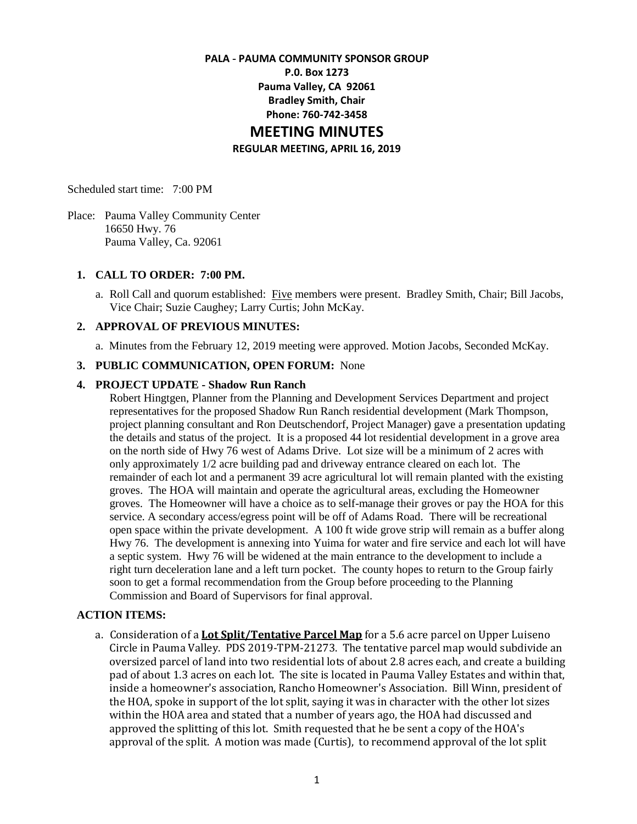#### **PALA - PAUMA COMMUNITY SPONSOR GROUP**

**P.0. Box 1273 Pauma Valley, CA 92061 Bradley Smith, Chair Phone: 760-742-3458**

# **MEETING MINUTES**

**REGULAR MEETING, APRIL 16, 2019**

Scheduled start time: 7:00 PM

Place: Pauma Valley Community Center 16650 Hwy. 76 Pauma Valley, Ca. 92061

## **1. CALL TO ORDER: 7:00 PM.**

a. Roll Call and quorum established: Five members were present. Bradley Smith, Chair; Bill Jacobs, Vice Chair; Suzie Caughey; Larry Curtis; John McKay.

# **2. APPROVAL OF PREVIOUS MINUTES:**

a. Minutes from the February 12, 2019 meeting were approved. Motion Jacobs, Seconded McKay.

#### **3. PUBLIC COMMUNICATION, OPEN FORUM:** None

#### **4. PROJECT UPDATE - Shadow Run Ranch**

Robert Hingtgen, Planner from the Planning and Development Services Department and project representatives for the proposed Shadow Run Ranch residential development (Mark Thompson, project planning consultant and Ron Deutschendorf, Project Manager) gave a presentation updating the details and status of the project. It is a proposed 44 lot residential development in a grove area on the north side of Hwy 76 west of Adams Drive. Lot size will be a minimum of 2 acres with only approximately 1/2 acre building pad and driveway entrance cleared on each lot. The remainder of each lot and a permanent 39 acre agricultural lot will remain planted with the existing groves. The HOA will maintain and operate the agricultural areas, excluding the Homeowner groves. The Homeowner will have a choice as to self-manage their groves or pay the HOA for this service. A secondary access/egress point will be off of Adams Road. There will be recreational open space within the private development. A 100 ft wide grove strip will remain as a buffer along Hwy 76. The development is annexing into Yuima for water and fire service and each lot will have a septic system. Hwy 76 will be widened at the main entrance to the development to include a right turn deceleration lane and a left turn pocket. The county hopes to return to the Group fairly soon to get a formal recommendation from the Group before proceeding to the Planning Commission and Board of Supervisors for final approval.

## **ACTION ITEMS:**

a. Consideration of a **Lot Split/Tentative Parcel Map** for a 5.6 acre parcel on Upper Luiseno Circle in Pauma Valley. PDS 2019-TPM-21273. The tentative parcel map would subdivide an oversized parcel of land into two residential lots of about 2.8 acres each, and create a building pad of about 1.3 acres on each lot. The site is located in Pauma Valley Estates and within that, inside a homeowner's association, Rancho Homeowner's Association. Bill Winn, president of the HOA, spoke in support of the lot split, saying it was in character with the other lot sizes within the HOA area and stated that a number of years ago, the HOA had discussed and approved the splitting of this lot. Smith requested that he be sent a copy of the HOA's approval of the split. A motion was made (Curtis), to recommend approval of the lot split